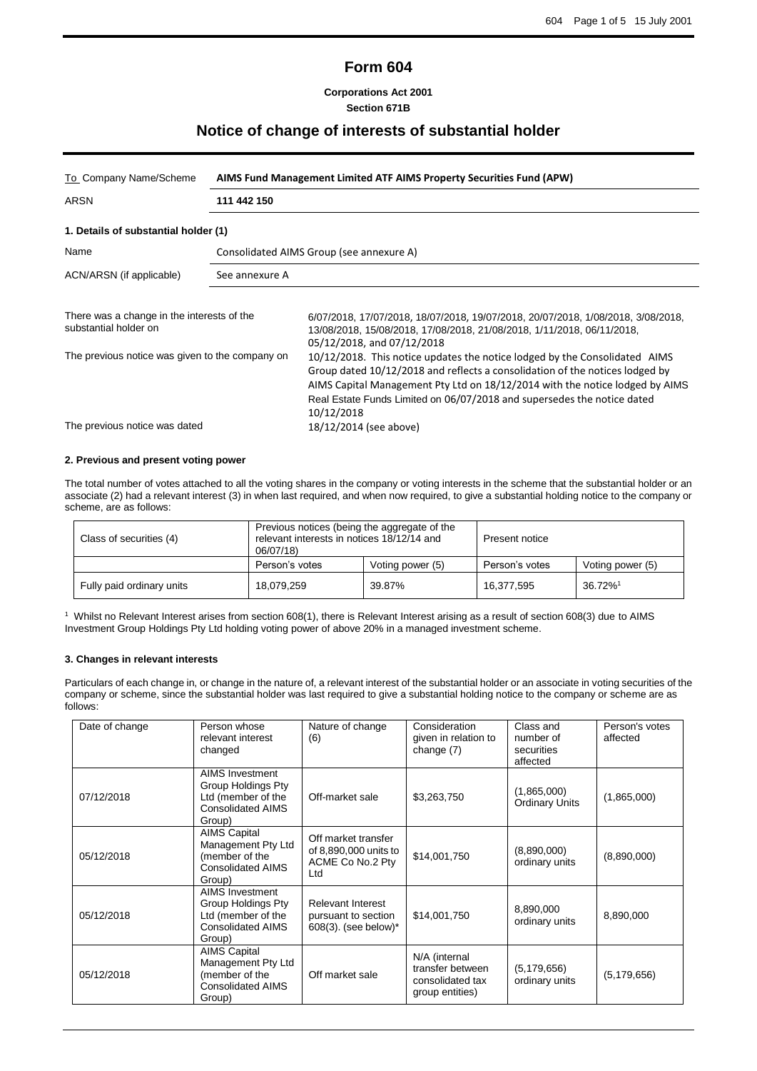| <b>Form 604</b> |  |
|-----------------|--|
|-----------------|--|

**Corporations Act 2001 Section 671B**

# **Notice of change of interests of substantial holder**

| To Company Name/Scheme                                                           | AIMS Fund Management Limited ATF AIMS Property Securities Fund (APW) |                                                                                                                                                                                                                                                                                                                                                               |  |
|----------------------------------------------------------------------------------|----------------------------------------------------------------------|---------------------------------------------------------------------------------------------------------------------------------------------------------------------------------------------------------------------------------------------------------------------------------------------------------------------------------------------------------------|--|
| ARSN                                                                             | 111 442 150                                                          |                                                                                                                                                                                                                                                                                                                                                               |  |
| 1. Details of substantial holder (1)                                             |                                                                      |                                                                                                                                                                                                                                                                                                                                                               |  |
| Name                                                                             |                                                                      | Consolidated AIMS Group (see annexure A)                                                                                                                                                                                                                                                                                                                      |  |
| ACN/ARSN (if applicable)                                                         | See annexure A                                                       |                                                                                                                                                                                                                                                                                                                                                               |  |
| There was a change in the interests of the<br>substantial holder on              |                                                                      | 6/07/2018, 17/07/2018, 18/07/2018, 19/07/2018, 20/07/2018, 1/08/2018, 3/08/2018,<br>13/08/2018, 15/08/2018, 17/08/2018, 21/08/2018, 1/11/2018, 06/11/2018,<br>05/12/2018, and 07/12/2018                                                                                                                                                                      |  |
| The previous notice was given to the company on<br>The previous notice was dated |                                                                      | 10/12/2018. This notice updates the notice lodged by the Consolidated AIMS<br>Group dated 10/12/2018 and reflects a consolidation of the notices lodged by<br>AIMS Capital Management Pty Ltd on 18/12/2014 with the notice lodged by AIMS<br>Real Estate Funds Limited on 06/07/2018 and supersedes the notice dated<br>10/12/2018<br>18/12/2014 (see above) |  |
|                                                                                  |                                                                      |                                                                                                                                                                                                                                                                                                                                                               |  |

### **2. Previous and present voting power**

The total number of votes attached to all the voting shares in the company or voting interests in the scheme that the substantial holder or an associate (2) had a relevant interest (3) in when last required, and when now required, to give a substantial holding notice to the company or scheme, are as follows:

| Class of securities (4)   | Previous notices (being the aggregate of the<br>relevant interests in notices 18/12/14 and<br>06/07/18) |                  | Present notice |                        |
|---------------------------|---------------------------------------------------------------------------------------------------------|------------------|----------------|------------------------|
|                           | Person's votes                                                                                          | Voting power (5) | Person's votes | Voting power (5)       |
| Fully paid ordinary units | 18.079.259                                                                                              | 39.87%           | 16.377.595     | $36.72\%$ <sup>1</sup> |

<sup>1</sup> Whilst no Relevant Interest arises from section 608(1), there is Relevant Interest arising as a result of section 608(3) due to AIMS Investment Group Holdings Pty Ltd holding voting power of above 20% in a managed investment scheme.

### **3. Changes in relevant interests**

Particulars of each change in, or change in the nature of, a relevant interest of the substantial holder or an associate in voting securities of the company or scheme, since the substantial holder was last required to give a substantial holding notice to the company or scheme are as follows:

| Date of change | Person whose<br>relevant interest<br>changed                                                                    | Nature of change<br>(6)                                                 | Consideration<br>given in relation to<br>change $(7)$                    | Class and<br>number of<br>securities<br>affected | Person's votes<br>affected |
|----------------|-----------------------------------------------------------------------------------------------------------------|-------------------------------------------------------------------------|--------------------------------------------------------------------------|--------------------------------------------------|----------------------------|
| 07/12/2018     | <b>AIMS Investment</b><br><b>Group Holdings Pty</b><br>Ltd (member of the<br><b>Consolidated AIMS</b><br>Group) | Off-market sale                                                         | \$3,263,750                                                              | (1,865,000)<br><b>Ordinary Units</b>             | (1,865,000)                |
| 05/12/2018     | <b>AIMS Capital</b><br>Management Pty Ltd<br>(member of the<br><b>Consolidated AIMS</b><br>Group)               | Off market transfer<br>of 8,890,000 units to<br>ACME Co No.2 Pty<br>Ltd | \$14,001,750                                                             | (8,890,000)<br>ordinary units                    | (8,890,000)                |
| 05/12/2018     | <b>AIMS Investment</b><br>Group Holdings Pty<br>Ltd (member of the<br><b>Consolidated AIMS</b><br>Group)        | <b>Relevant Interest</b><br>pursuant to section<br>608(3). (see below)* | \$14,001,750                                                             | 8,890,000<br>ordinary units                      | 8,890,000                  |
| 05/12/2018     | <b>AIMS Capital</b><br>Management Pty Ltd<br>(member of the<br><b>Consolidated AIMS</b><br>Group)               | Off market sale                                                         | N/A (internal<br>transfer between<br>consolidated tax<br>group entities) | (5, 179, 656)<br>ordinary units                  | (5, 179, 656)              |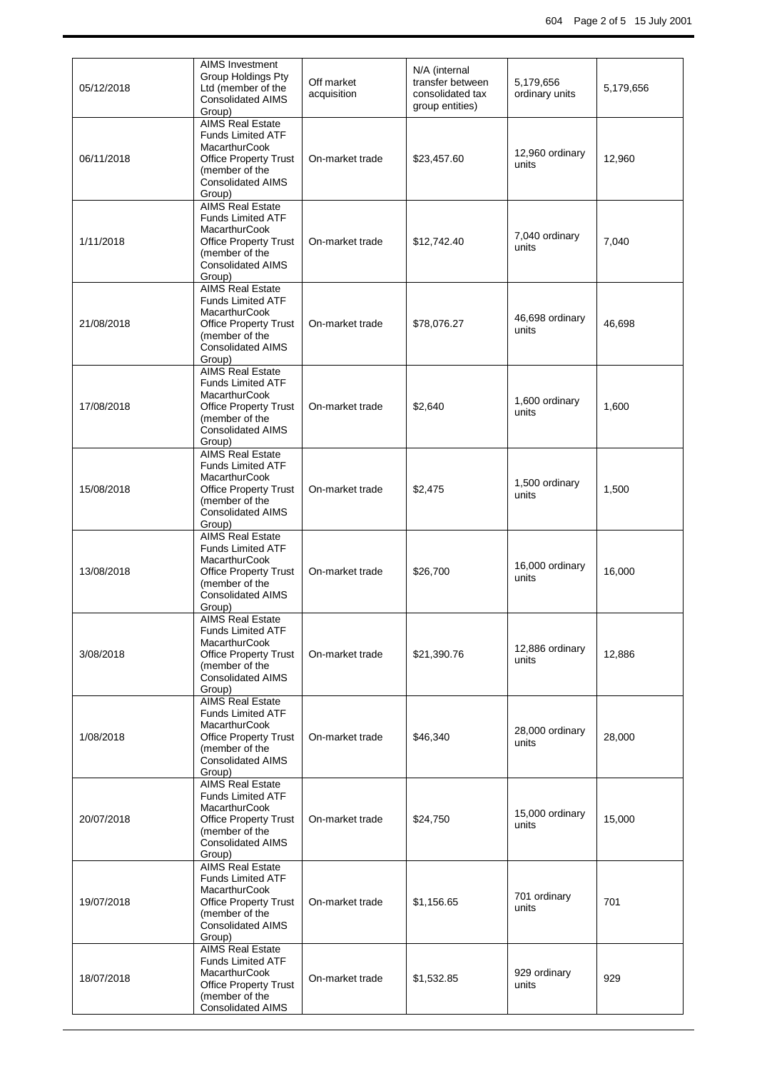| 05/12/2018 | AIMS Investment<br>Group Holdings Pty<br>Ltd (member of the<br><b>Consolidated AIMS</b><br>Group)                                                                   | Off market<br>acquisition | N/A (internal<br>transfer between<br>consolidated tax<br>group entities) | 5,179,656<br>ordinary units | 5,179,656 |
|------------|---------------------------------------------------------------------------------------------------------------------------------------------------------------------|---------------------------|--------------------------------------------------------------------------|-----------------------------|-----------|
| 06/11/2018 | <b>AIMS Real Estate</b><br><b>Funds Limited ATF</b><br><b>MacarthurCook</b><br><b>Office Property Trust</b><br>(member of the<br><b>Consolidated AIMS</b><br>Group) | On-market trade           | \$23,457.60                                                              | 12,960 ordinary<br>units    | 12,960    |
| 1/11/2018  | <b>AIMS Real Estate</b><br><b>Funds Limited ATF</b><br><b>MacarthurCook</b><br><b>Office Property Trust</b><br>(member of the<br><b>Consolidated AIMS</b><br>Group) | On-market trade           | \$12,742.40                                                              | 7,040 ordinary<br>units     | 7,040     |
| 21/08/2018 | <b>AIMS Real Estate</b><br><b>Funds Limited ATF</b><br><b>MacarthurCook</b><br><b>Office Property Trust</b><br>(member of the<br><b>Consolidated AIMS</b><br>Group) | On-market trade           | \$78,076.27                                                              | 46,698 ordinary<br>units    | 46,698    |
| 17/08/2018 | <b>AIMS Real Estate</b><br><b>Funds Limited ATF</b><br><b>MacarthurCook</b><br><b>Office Property Trust</b><br>(member of the<br><b>Consolidated AIMS</b><br>Group) | On-market trade           | \$2,640                                                                  | 1,600 ordinary<br>units     | 1,600     |
| 15/08/2018 | <b>AIMS Real Estate</b><br><b>Funds Limited ATF</b><br>MacarthurCook<br><b>Office Property Trust</b><br>(member of the<br><b>Consolidated AIMS</b><br>Group)        | On-market trade           | \$2,475                                                                  | 1,500 ordinary<br>units     | 1,500     |
| 13/08/2018 | <b>AIMS Real Estate</b><br><b>Funds Limited ATF</b><br><b>MacarthurCook</b><br><b>Office Property Trust</b><br>(member of the<br><b>Consolidated AIMS</b><br>Group) | On-market trade           | \$26,700                                                                 | 16,000 ordinary<br>units    | 16,000    |
| 3/08/2018  | <b>AIMS Real Estate</b><br>Funds Limited ATF<br><b>MacarthurCook</b><br><b>Office Property Trust</b><br>(member of the<br><b>Consolidated AIMS</b><br>Group)        | On-market trade           | \$21,390.76                                                              | 12,886 ordinary<br>units    | 12,886    |
| 1/08/2018  | <b>AIMS Real Estate</b><br><b>Funds Limited ATF</b><br><b>MacarthurCook</b><br><b>Office Property Trust</b><br>(member of the<br><b>Consolidated AIMS</b><br>Group) | On-market trade           | \$46,340                                                                 | 28,000 ordinary<br>units    | 28,000    |
| 20/07/2018 | <b>AIMS Real Estate</b><br><b>Funds Limited ATF</b><br><b>MacarthurCook</b><br><b>Office Property Trust</b><br>(member of the<br><b>Consolidated AIMS</b><br>Group) | On-market trade           | \$24,750                                                                 | 15,000 ordinary<br>units    | 15,000    |
| 19/07/2018 | <b>AIMS Real Estate</b><br><b>Funds Limited ATF</b><br><b>MacarthurCook</b><br><b>Office Property Trust</b><br>(member of the<br><b>Consolidated AIMS</b><br>Group) | On-market trade           | \$1,156.65                                                               | 701 ordinary<br>units       | 701       |
| 18/07/2018 | <b>AIMS Real Estate</b><br><b>Funds Limited ATF</b><br><b>MacarthurCook</b><br><b>Office Property Trust</b><br>(member of the<br><b>Consolidated AIMS</b>           | On-market trade           | \$1,532.85                                                               | 929 ordinary<br>units       | 929       |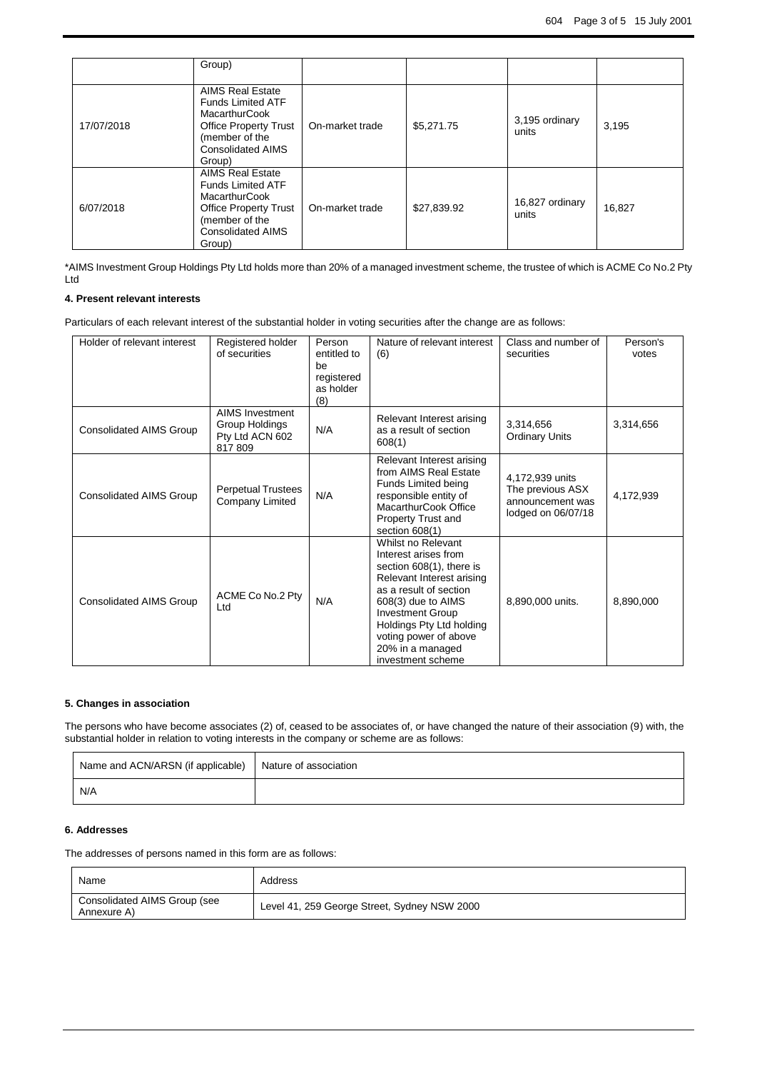|            | Group)                                                                                                                                                              |                 |             |                          |        |
|------------|---------------------------------------------------------------------------------------------------------------------------------------------------------------------|-----------------|-------------|--------------------------|--------|
| 17/07/2018 | <b>AIMS Real Estate</b><br><b>Funds Limited ATF</b><br>MacarthurCook<br><b>Office Property Trust</b><br>(member of the<br><b>Consolidated AIMS</b><br>Group)        | On-market trade | \$5,271.75  | 3,195 ordinary<br>units  | 3,195  |
| 6/07/2018  | <b>AIMS Real Estate</b><br><b>Funds Limited ATF</b><br><b>MacarthurCook</b><br><b>Office Property Trust</b><br>(member of the<br><b>Consolidated AIMS</b><br>Group) | On-market trade | \$27,839.92 | 16,827 ordinary<br>units | 16,827 |

\*AIMS Investment Group Holdings Pty Ltd holds more than 20% of a managed investment scheme, the trustee of which is ACME Co No.2 Pty Ltd

## **4. Present relevant interests**

Particulars of each relevant interest of the substantial holder in voting securities after the change are as follows:

| Holder of relevant interest    | Registered holder<br>of securities                                    | Person<br>entitled to<br>be<br>registered<br>as holder<br>(8) | Nature of relevant interest<br>(6)                                                                                                                                                                                                                                           | Class and number of<br>securities                                             | Person's<br>votes |
|--------------------------------|-----------------------------------------------------------------------|---------------------------------------------------------------|------------------------------------------------------------------------------------------------------------------------------------------------------------------------------------------------------------------------------------------------------------------------------|-------------------------------------------------------------------------------|-------------------|
| <b>Consolidated AIMS Group</b> | <b>AIMS Investment</b><br>Group Holdings<br>Pty Ltd ACN 602<br>817809 | N/A                                                           | Relevant Interest arising<br>as a result of section<br>608(1)                                                                                                                                                                                                                | 3,314,656<br><b>Ordinary Units</b>                                            | 3,314,656         |
| <b>Consolidated AIMS Group</b> | <b>Perpetual Trustees</b><br>Company Limited                          | N/A                                                           | Relevant Interest arising<br>from AIMS Real Estate<br>Funds Limited being<br>responsible entity of<br>MacarthurCook Office<br><b>Property Trust and</b><br>section 608(1)                                                                                                    | 4,172,939 units<br>The previous ASX<br>announcement was<br>lodged on 06/07/18 | 4,172,939         |
| Consolidated AIMS Group        | ACME Co No.2 Pty<br>Ltd                                               | N/A                                                           | Whilst no Relevant<br>Interest arises from<br>section 608(1), there is<br>Relevant Interest arising<br>as a result of section<br>608(3) due to AIMS<br><b>Investment Group</b><br>Holdings Pty Ltd holding<br>voting power of above<br>20% in a managed<br>investment scheme | 8,890,000 units.                                                              | 8,890,000         |

## **5. Changes in association**

The persons who have become associates (2) of, ceased to be associates of, or have changed the nature of their association (9) with, the substantial holder in relation to voting interests in the company or scheme are as follows:

| Name and ACN/ARSN (if applicable)   Nature of association |  |
|-----------------------------------------------------------|--|
| N/A                                                       |  |

## **6. Addresses**

The addresses of persons named in this form are as follows:

| Name                                        | Address                                      |
|---------------------------------------------|----------------------------------------------|
| Consolidated AIMS Group (see<br>Annexure A) | Level 41, 259 George Street, Sydney NSW 2000 |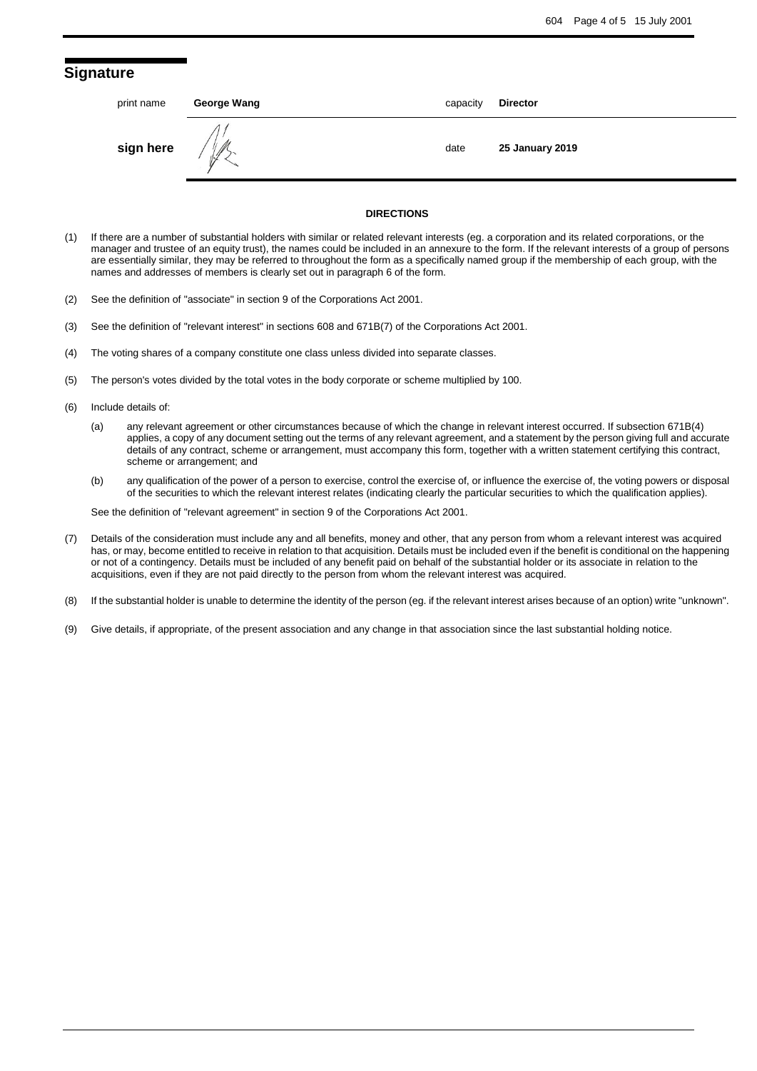## **Signature**

| print name | George Wang   | capacity | <b>Director</b> |
|------------|---------------|----------|-----------------|
| sign here  | $\mathscr{J}$ | date     | 25 January 2019 |
|            |               |          |                 |

#### **DIRECTIONS**

- (1) If there are a number of substantial holders with similar or related relevant interests (eg. a corporation and its related corporations, or the manager and trustee of an equity trust), the names could be included in an annexure to the form. If the relevant interests of a group of persons are essentially similar, they may be referred to throughout the form as a specifically named group if the membership of each group, with the names and addresses of members is clearly set out in paragraph 6 of the form.
- (2) See the definition of "associate" in section 9 of the Corporations Act 2001.
- (3) See the definition of "relevant interest" in sections 608 and 671B(7) of the Corporations Act 2001.
- (4) The voting shares of a company constitute one class unless divided into separate classes.
- (5) The person's votes divided by the total votes in the body corporate or scheme multiplied by 100.
- (6) Include details of:
	- (a) any relevant agreement or other circumstances because of which the change in relevant interest occurred. If subsection 671B(4) applies, a copy of any document setting out the terms of any relevant agreement, and a statement by the person giving full and accurate details of any contract, scheme or arrangement, must accompany this form, together with a written statement certifying this contract, scheme or arrangement; and
	- (b) any qualification of the power of a person to exercise, control the exercise of, or influence the exercise of, the voting powers or disposal of the securities to which the relevant interest relates (indicating clearly the particular securities to which the qualification applies).

See the definition of "relevant agreement" in section 9 of the Corporations Act 2001.

- (7) Details of the consideration must include any and all benefits, money and other, that any person from whom a relevant interest was acquired has, or may, become entitled to receive in relation to that acquisition. Details must be included even if the benefit is conditional on the happening or not of a contingency. Details must be included of any benefit paid on behalf of the substantial holder or its associate in relation to the acquisitions, even if they are not paid directly to the person from whom the relevant interest was acquired.
- (8) If the substantial holder is unable to determine the identity of the person (eg. if the relevant interest arises because of an option) write "unknown".
- (9) Give details, if appropriate, of the present association and any change in that association since the last substantial holding notice.